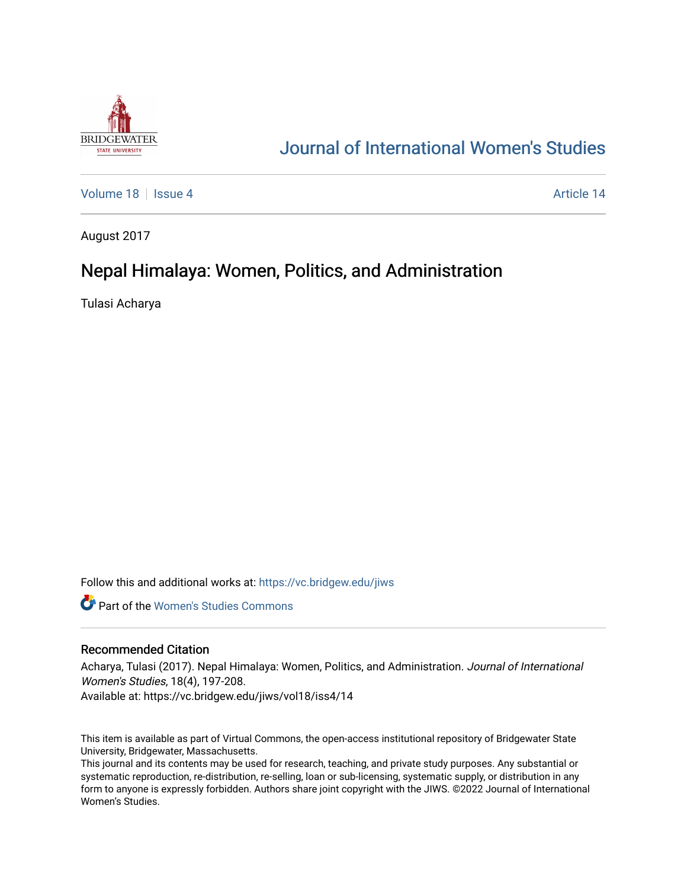

# [Journal of International Women's Studies](https://vc.bridgew.edu/jiws)

[Volume 18](https://vc.bridgew.edu/jiws/vol18) September 18 [Issue 4](https://vc.bridgew.edu/jiws/vol18/iss4) Article 14

August 2017

# Nepal Himalaya: Women, Politics, and Administration

Tulasi Acharya

Follow this and additional works at: [https://vc.bridgew.edu/jiws](https://vc.bridgew.edu/jiws?utm_source=vc.bridgew.edu%2Fjiws%2Fvol18%2Fiss4%2F14&utm_medium=PDF&utm_campaign=PDFCoverPages)

**C** Part of the Women's Studies Commons

### Recommended Citation

Acharya, Tulasi (2017). Nepal Himalaya: Women, Politics, and Administration. Journal of International Women's Studies, 18(4), 197-208.

Available at: https://vc.bridgew.edu/jiws/vol18/iss4/14

This item is available as part of Virtual Commons, the open-access institutional repository of Bridgewater State University, Bridgewater, Massachusetts.

This journal and its contents may be used for research, teaching, and private study purposes. Any substantial or systematic reproduction, re-distribution, re-selling, loan or sub-licensing, systematic supply, or distribution in any form to anyone is expressly forbidden. Authors share joint copyright with the JIWS. ©2022 Journal of International Women's Studies.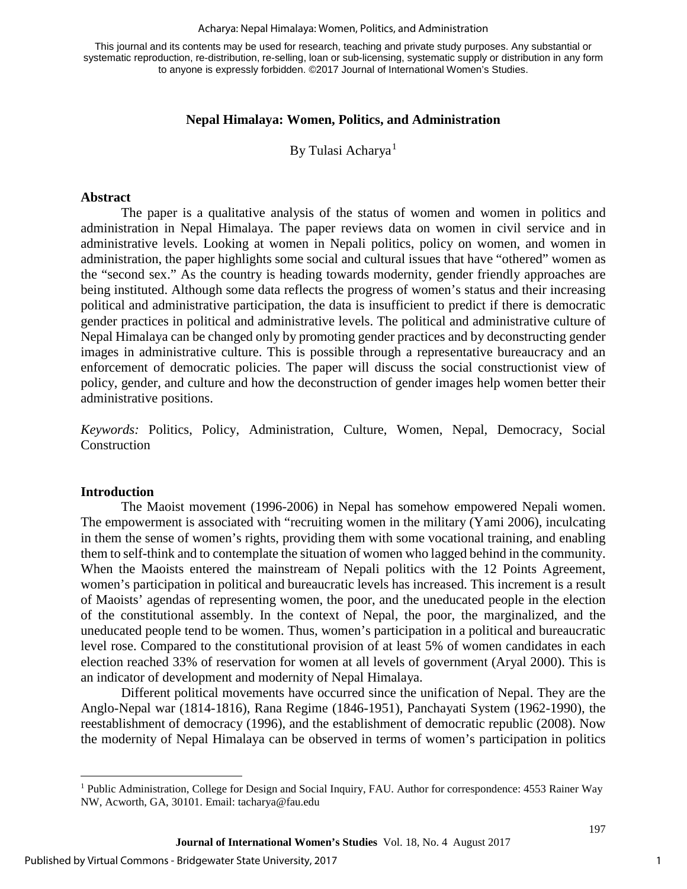#### Acharya: Nepal Himalaya: Women, Politics, and Administration

This journal and its contents may be used for research, teaching and private study purposes. Any substantial or systematic reproduction, re-distribution, re-selling, loan or sub-licensing, systematic supply or distribution in any form to anyone is expressly forbidden. ©2017 Journal of International Women's Studies.

### **Nepal Himalaya: Women, Politics, and Administration**

By Tulasi Acharya<sup>[1](#page-1-0)</sup>

#### **Abstract**

The paper is a qualitative analysis of the status of women and women in politics and administration in Nepal Himalaya. The paper reviews data on women in civil service and in administrative levels. Looking at women in Nepali politics, policy on women, and women in administration, the paper highlights some social and cultural issues that have "othered" women as the "second sex." As the country is heading towards modernity, gender friendly approaches are being instituted. Although some data reflects the progress of women's status and their increasing political and administrative participation, the data is insufficient to predict if there is democratic gender practices in political and administrative levels. The political and administrative culture of Nepal Himalaya can be changed only by promoting gender practices and by deconstructing gender images in administrative culture. This is possible through a representative bureaucracy and an enforcement of democratic policies. The paper will discuss the social constructionist view of policy, gender, and culture and how the deconstruction of gender images help women better their administrative positions.

*Keywords:* Politics, Policy, Administration, Culture, Women, Nepal, Democracy, Social Construction

#### **Introduction**

l

The Maoist movement (1996-2006) in Nepal has somehow empowered Nepali women. The empowerment is associated with "recruiting women in the military (Yami 2006), inculcating in them the sense of women's rights, providing them with some vocational training, and enabling them to self-think and to contemplate the situation of women who lagged behind in the community. When the Maoists entered the mainstream of Nepali politics with the 12 Points Agreement, women's participation in political and bureaucratic levels has increased. This increment is a result of Maoists' agendas of representing women, the poor, and the uneducated people in the election of the constitutional assembly. In the context of Nepal, the poor, the marginalized, and the uneducated people tend to be women. Thus, women's participation in a political and bureaucratic level rose. Compared to the constitutional provision of at least 5% of women candidates in each election reached 33% of reservation for women at all levels of government (Aryal 2000). This is an indicator of development and modernity of Nepal Himalaya.

Different political movements have occurred since the unification of Nepal. They are the Anglo-Nepal war (1814-1816), Rana Regime (1846-1951), Panchayati System (1962-1990), the reestablishment of democracy (1996), and the establishment of democratic republic (2008). Now the modernity of Nepal Himalaya can be observed in terms of women's participation in politics

<span id="page-1-0"></span><sup>1</sup> Public Administration, College for Design and Social Inquiry, FAU. Author for correspondence: 4553 Rainer Way NW, Acworth, GA, 30101. Email: tacharya@fau.edu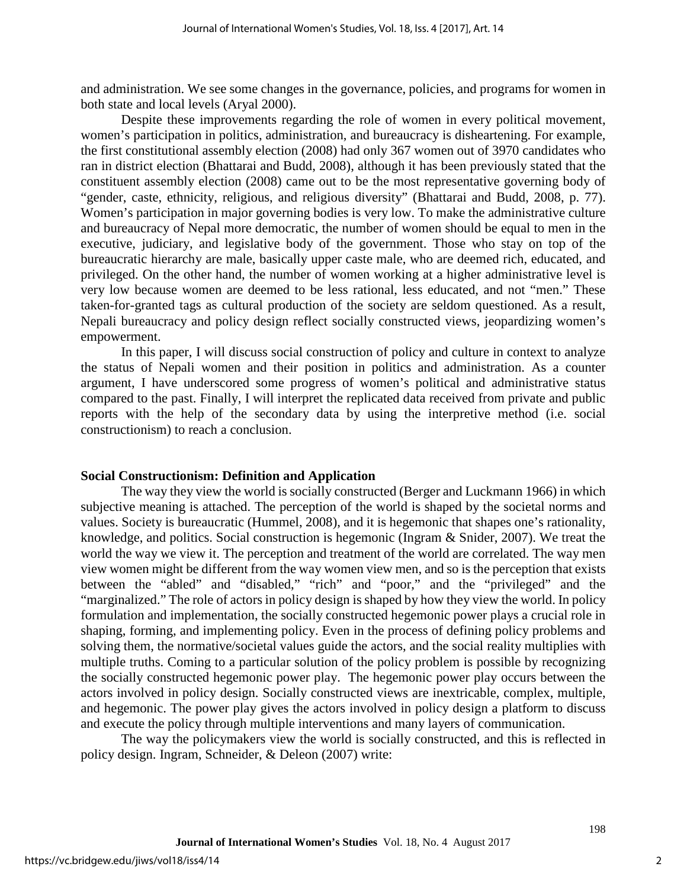and administration. We see some changes in the governance, policies, and programs for women in both state and local levels (Aryal 2000).

Despite these improvements regarding the role of women in every political movement, women's participation in politics, administration, and bureaucracy is disheartening. For example, the first constitutional assembly election (2008) had only 367 women out of 3970 candidates who ran in district election (Bhattarai and Budd, 2008), although it has been previously stated that the constituent assembly election (2008) came out to be the most representative governing body of "gender, caste, ethnicity, religious, and religious diversity" (Bhattarai and Budd, 2008, p. 77). Women's participation in major governing bodies is very low. To make the administrative culture and bureaucracy of Nepal more democratic, the number of women should be equal to men in the executive, judiciary, and legislative body of the government. Those who stay on top of the bureaucratic hierarchy are male, basically upper caste male, who are deemed rich, educated, and privileged. On the other hand, the number of women working at a higher administrative level is very low because women are deemed to be less rational, less educated, and not "men." These taken-for-granted tags as cultural production of the society are seldom questioned. As a result, Nepali bureaucracy and policy design reflect socially constructed views, jeopardizing women's empowerment.

In this paper, I will discuss social construction of policy and culture in context to analyze the status of Nepali women and their position in politics and administration. As a counter argument, I have underscored some progress of women's political and administrative status compared to the past. Finally, I will interpret the replicated data received from private and public reports with the help of the secondary data by using the interpretive method (i.e. social constructionism) to reach a conclusion.

### **Social Constructionism: Definition and Application**

The way they view the world is socially constructed (Berger and Luckmann 1966) in which subjective meaning is attached. The perception of the world is shaped by the societal norms and values. Society is bureaucratic (Hummel, 2008), and it is hegemonic that shapes one's rationality, knowledge, and politics. Social construction is hegemonic (Ingram & Snider, 2007). We treat the world the way we view it. The perception and treatment of the world are correlated. The way men view women might be different from the way women view men, and so is the perception that exists between the "abled" and "disabled," "rich" and "poor," and the "privileged" and the "marginalized." The role of actors in policy design is shaped by how they view the world. In policy formulation and implementation, the socially constructed hegemonic power plays a crucial role in shaping, forming, and implementing policy. Even in the process of defining policy problems and solving them, the normative/societal values guide the actors, and the social reality multiplies with multiple truths. Coming to a particular solution of the policy problem is possible by recognizing the socially constructed hegemonic power play. The hegemonic power play occurs between the actors involved in policy design. Socially constructed views are inextricable, complex, multiple, and hegemonic. The power play gives the actors involved in policy design a platform to discuss and execute the policy through multiple interventions and many layers of communication.

The way the policymakers view the world is socially constructed, and this is reflected in policy design. Ingram, Schneider, & Deleon (2007) write: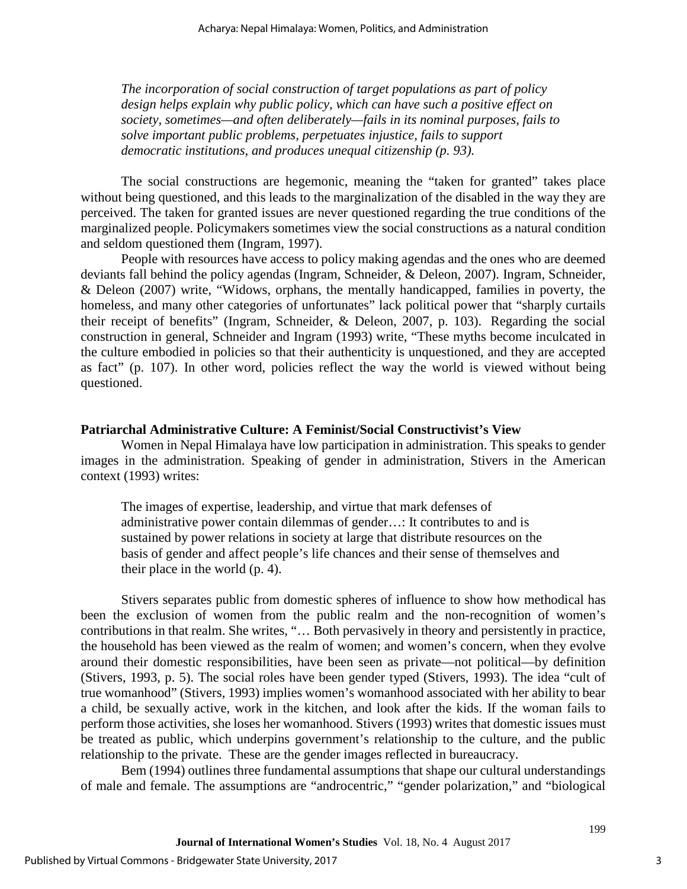*The incorporation of social construction of target populations as part of policy design helps explain why public policy, which can have such a positive effect on society, sometimes—and often deliberately—fails in its nominal purposes, fails to solve important public problems, perpetuates injustice, fails to support democratic institutions, and produces unequal citizenship (p. 93).* 

The social constructions are hegemonic, meaning the "taken for granted" takes place without being questioned, and this leads to the marginalization of the disabled in the way they are perceived. The taken for granted issues are never questioned regarding the true conditions of the marginalized people. Policymakers sometimes view the social constructions as a natural condition and seldom questioned them (Ingram, 1997).

People with resources have access to policy making agendas and the ones who are deemed deviants fall behind the policy agendas (Ingram, Schneider, & Deleon, 2007). Ingram, Schneider, & Deleon (2007) write, "Widows, orphans, the mentally handicapped, families in poverty, the homeless, and many other categories of unfortunates" lack political power that "sharply curtails their receipt of benefits" (Ingram, Schneider, & Deleon, 2007, p. 103). Regarding the social construction in general, Schneider and Ingram (1993) write, "These myths become inculcated in the culture embodied in policies so that their authenticity is unquestioned, and they are accepted as fact" (p. 107). In other word, policies reflect the way the world is viewed without being questioned.

#### **Patriarchal Administrative Culture: A Feminist/Social Constructivist's View**

Women in Nepal Himalaya have low participation in administration. This speaks to gender images in the administration. Speaking of gender in administration, Stivers in the American context (1993) writes:

The images of expertise, leadership, and virtue that mark defenses of administrative power contain dilemmas of gender…: It contributes to and is sustained by power relations in society at large that distribute resources on the basis of gender and affect people's life chances and their sense of themselves and their place in the world (p. 4).

Stivers separates public from domestic spheres of influence to show how methodical has been the exclusion of women from the public realm and the non-recognition of women's contributions in that realm. She writes, "… Both pervasively in theory and persistently in practice, the household has been viewed as the realm of women; and women's concern, when they evolve around their domestic responsibilities, have been seen as private—not political—by definition (Stivers, 1993, p. 5). The social roles have been gender typed (Stivers, 1993). The idea "cult of true womanhood" (Stivers, 1993) implies women's womanhood associated with her ability to bear a child, be sexually active, work in the kitchen, and look after the kids. If the woman fails to perform those activities, she loses her womanhood. Stivers (1993) writes that domestic issues must be treated as public, which underpins government's relationship to the culture, and the public relationship to the private. These are the gender images reflected in bureaucracy.

Bem (1994) outlines three fundamental assumptions that shape our cultural understandings of male and female. The assumptions are "androcentric," "gender polarization," and "biological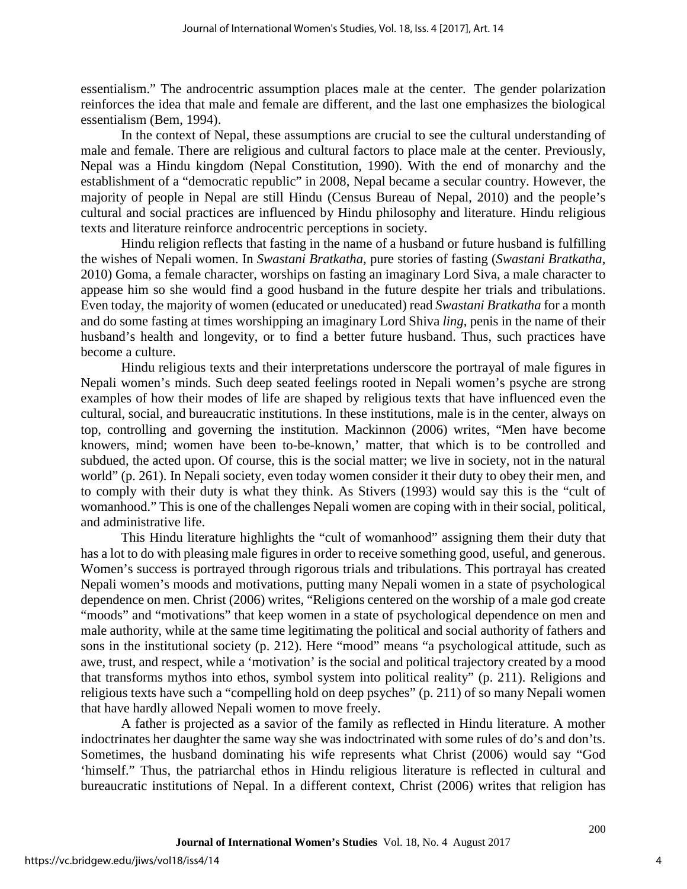essentialism." The androcentric assumption places male at the center. The gender polarization reinforces the idea that male and female are different, and the last one emphasizes the biological essentialism (Bem, 1994).

In the context of Nepal, these assumptions are crucial to see the cultural understanding of male and female. There are religious and cultural factors to place male at the center. Previously, Nepal was a Hindu kingdom (Nepal Constitution, 1990). With the end of monarchy and the establishment of a "democratic republic" in 2008, Nepal became a secular country. However, the majority of people in Nepal are still Hindu (Census Bureau of Nepal, 2010) and the people's cultural and social practices are influenced by Hindu philosophy and literature. Hindu religious texts and literature reinforce androcentric perceptions in society.

Hindu religion reflects that fasting in the name of a husband or future husband is fulfilling the wishes of Nepali women. In *Swastani Bratkatha,* pure stories of fasting (*Swastani Bratkatha*, 2010) Goma, a female character, worships on fasting an imaginary Lord Siva, a male character to appease him so she would find a good husband in the future despite her trials and tribulations. Even today, the majority of women (educated or uneducated) read *Swastani Bratkatha* for a month and do some fasting at times worshipping an imaginary Lord Shiva *ling*, penis in the name of their husband's health and longevity, or to find a better future husband. Thus, such practices have become a culture.

Hindu religious texts and their interpretations underscore the portrayal of male figures in Nepali women's minds. Such deep seated feelings rooted in Nepali women's psyche are strong examples of how their modes of life are shaped by religious texts that have influenced even the cultural, social, and bureaucratic institutions. In these institutions, male is in the center, always on top, controlling and governing the institution. Mackinnon (2006) writes, "Men have become knowers, mind; women have been to-be-known,' matter, that which is to be controlled and subdued, the acted upon. Of course, this is the social matter; we live in society, not in the natural world" (p. 261). In Nepali society, even today women consider it their duty to obey their men, and to comply with their duty is what they think. As Stivers (1993) would say this is the "cult of womanhood." This is one of the challenges Nepali women are coping with in their social, political, and administrative life.

This Hindu literature highlights the "cult of womanhood" assigning them their duty that has a lot to do with pleasing male figures in order to receive something good, useful, and generous. Women's success is portrayed through rigorous trials and tribulations. This portrayal has created Nepali women's moods and motivations, putting many Nepali women in a state of psychological dependence on men. Christ (2006) writes, "Religions centered on the worship of a male god create "moods" and "motivations" that keep women in a state of psychological dependence on men and male authority, while at the same time legitimating the political and social authority of fathers and sons in the institutional society (p. 212). Here "mood" means "a psychological attitude, such as awe, trust, and respect, while a 'motivation' is the social and political trajectory created by a mood that transforms mythos into ethos, symbol system into political reality" (p. 211). Religions and religious texts have such a "compelling hold on deep psyches" (p. 211) of so many Nepali women that have hardly allowed Nepali women to move freely.

A father is projected as a savior of the family as reflected in Hindu literature. A mother indoctrinates her daughter the same way she was indoctrinated with some rules of do's and don'ts. Sometimes, the husband dominating his wife represents what Christ (2006) would say "God 'himself." Thus, the patriarchal ethos in Hindu religious literature is reflected in cultural and bureaucratic institutions of Nepal. In a different context, Christ (2006) writes that religion has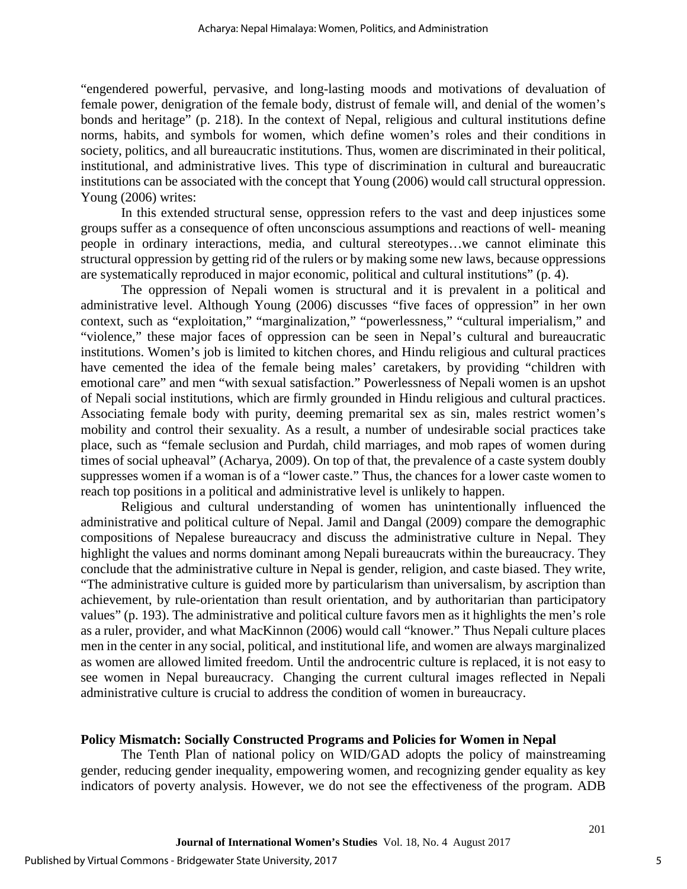"engendered powerful, pervasive, and long-lasting moods and motivations of devaluation of female power, denigration of the female body, distrust of female will, and denial of the women's bonds and heritage" (p. 218). In the context of Nepal, religious and cultural institutions define norms, habits, and symbols for women, which define women's roles and their conditions in society, politics, and all bureaucratic institutions. Thus, women are discriminated in their political, institutional, and administrative lives. This type of discrimination in cultural and bureaucratic institutions can be associated with the concept that Young (2006) would call structural oppression. Young (2006) writes:

In this extended structural sense, oppression refers to the vast and deep injustices some groups suffer as a consequence of often unconscious assumptions and reactions of well- meaning people in ordinary interactions, media, and cultural stereotypes…we cannot eliminate this structural oppression by getting rid of the rulers or by making some new laws, because oppressions are systematically reproduced in major economic, political and cultural institutions" (p. 4).

The oppression of Nepali women is structural and it is prevalent in a political and administrative level. Although Young (2006) discusses "five faces of oppression" in her own context, such as "exploitation," "marginalization," "powerlessness," "cultural imperialism," and "violence," these major faces of oppression can be seen in Nepal's cultural and bureaucratic institutions. Women's job is limited to kitchen chores, and Hindu religious and cultural practices have cemented the idea of the female being males' caretakers, by providing "children with emotional care" and men "with sexual satisfaction." Powerlessness of Nepali women is an upshot of Nepali social institutions, which are firmly grounded in Hindu religious and cultural practices. Associating female body with purity, deeming premarital sex as sin, males restrict women's mobility and control their sexuality. As a result, a number of undesirable social practices take place, such as "female seclusion and Purdah, child marriages, and mob rapes of women during times of social upheaval" (Acharya, 2009). On top of that, the prevalence of a caste system doubly suppresses women if a woman is of a "lower caste." Thus, the chances for a lower caste women to reach top positions in a political and administrative level is unlikely to happen.

Religious and cultural understanding of women has unintentionally influenced the administrative and political culture of Nepal. Jamil and Dangal (2009) compare the demographic compositions of Nepalese bureaucracy and discuss the administrative culture in Nepal. They highlight the values and norms dominant among Nepali bureaucrats within the bureaucracy. They conclude that the administrative culture in Nepal is gender, religion, and caste biased. They write, "The administrative culture is guided more by particularism than universalism, by ascription than achievement, by rule-orientation than result orientation, and by authoritarian than participatory values" (p. 193). The administrative and political culture favors men as it highlights the men's role as a ruler, provider, and what MacKinnon (2006) would call "knower." Thus Nepali culture places men in the center in any social, political, and institutional life, and women are always marginalized as women are allowed limited freedom. Until the androcentric culture is replaced, it is not easy to see women in Nepal bureaucracy. Changing the current cultural images reflected in Nepali administrative culture is crucial to address the condition of women in bureaucracy.

### **Policy Mismatch: Socially Constructed Programs and Policies for Women in Nepal**

The Tenth Plan of national policy on WID/GAD adopts the policy of mainstreaming gender, reducing gender inequality, empowering women, and recognizing gender equality as key indicators of poverty analysis. However, we do not see the effectiveness of the program. ADB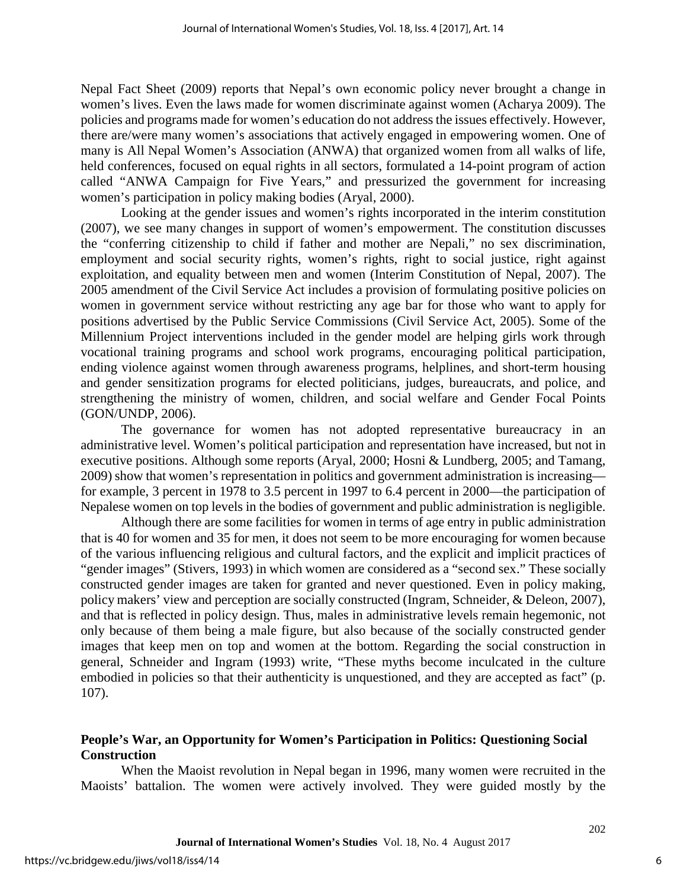Nepal Fact Sheet (2009) reports that Nepal's own economic policy never brought a change in women's lives. Even the laws made for women discriminate against women (Acharya 2009). The policies and programs made for women's education do not address the issues effectively. However, there are/were many women's associations that actively engaged in empowering women. One of many is All Nepal Women's Association (ANWA) that organized women from all walks of life, held conferences, focused on equal rights in all sectors, formulated a 14-point program of action called "ANWA Campaign for Five Years," and pressurized the government for increasing women's participation in policy making bodies (Aryal, 2000).

Looking at the gender issues and women's rights incorporated in the interim constitution (2007), we see many changes in support of women's empowerment. The constitution discusses the "conferring citizenship to child if father and mother are Nepali," no sex discrimination, employment and social security rights, women's rights, right to social justice, right against exploitation, and equality between men and women (Interim Constitution of Nepal, 2007). The 2005 amendment of the Civil Service Act includes a provision of formulating positive policies on women in government service without restricting any age bar for those who want to apply for positions advertised by the Public Service Commissions (Civil Service Act, 2005). Some of the Millennium Project interventions included in the gender model are helping girls work through vocational training programs and school work programs, encouraging political participation, ending violence against women through awareness programs, helplines, and short-term housing and gender sensitization programs for elected politicians, judges, bureaucrats, and police, and strengthening the ministry of women, children, and social welfare and Gender Focal Points (GON/UNDP, 2006).

The governance for women has not adopted representative bureaucracy in an administrative level. Women's political participation and representation have increased, but not in executive positions. Although some reports (Aryal, 2000; Hosni & Lundberg, 2005; and Tamang, 2009) show that women's representation in politics and government administration is increasing for example, 3 percent in 1978 to 3.5 percent in 1997 to 6.4 percent in 2000—the participation of Nepalese women on top levels in the bodies of government and public administration is negligible.

Although there are some facilities for women in terms of age entry in public administration that is 40 for women and 35 for men, it does not seem to be more encouraging for women because of the various influencing religious and cultural factors, and the explicit and implicit practices of "gender images" (Stivers, 1993) in which women are considered as a "second sex." These socially constructed gender images are taken for granted and never questioned. Even in policy making, policy makers' view and perception are socially constructed (Ingram, Schneider, & Deleon, 2007), and that is reflected in policy design. Thus, males in administrative levels remain hegemonic, not only because of them being a male figure, but also because of the socially constructed gender images that keep men on top and women at the bottom. Regarding the social construction in general, Schneider and Ingram (1993) write, "These myths become inculcated in the culture embodied in policies so that their authenticity is unquestioned, and they are accepted as fact" (p. 107).

## **People's War, an Opportunity for Women's Participation in Politics: Questioning Social Construction**

When the Maoist revolution in Nepal began in 1996, many women were recruited in the Maoists' battalion. The women were actively involved. They were guided mostly by the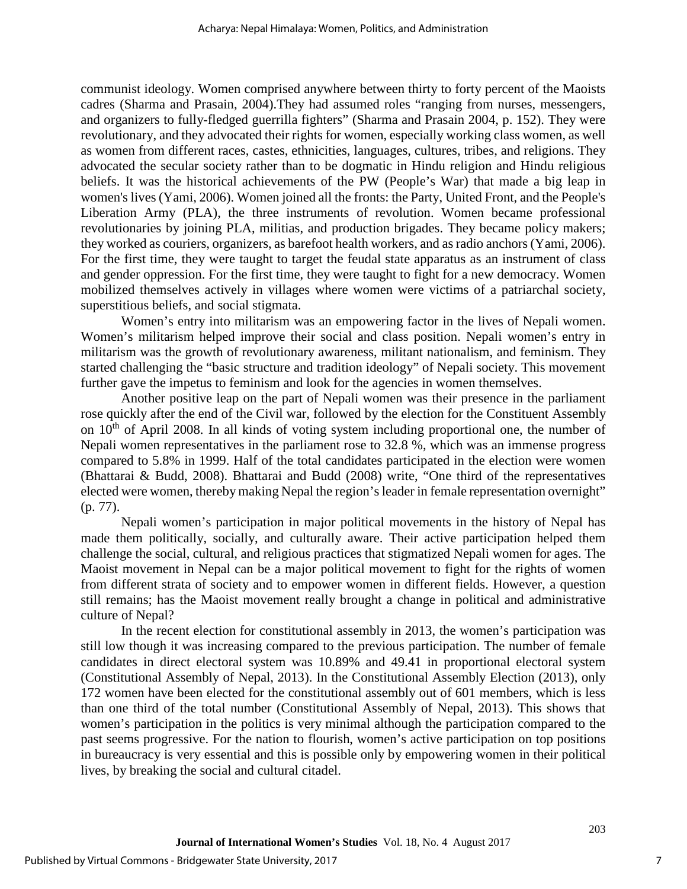communist ideology. Women comprised anywhere between thirty to forty percent of the Maoists cadres (Sharma and Prasain, 2004).They had assumed roles "ranging from nurses, messengers, and organizers to fully-fledged guerrilla fighters" (Sharma and Prasain 2004, p. 152). They were revolutionary, and they advocated their rights for women, especially working class women, as well as women from different races, castes, ethnicities, languages, cultures, tribes, and religions. They advocated the secular society rather than to be dogmatic in Hindu religion and Hindu religious beliefs. It was the historical achievements of the PW (People's War) that made a big leap in women's lives (Yami, 2006). Women joined all the fronts: the Party, United Front, and the People's Liberation Army (PLA), the three instruments of revolution. Women became professional revolutionaries by joining PLA, militias, and production brigades. They became policy makers; they worked as couriers, organizers, as barefoot health workers, and as radio anchors (Yami, 2006). For the first time, they were taught to target the feudal state apparatus as an instrument of class and gender oppression. For the first time, they were taught to fight for a new democracy. Women mobilized themselves actively in villages where women were victims of a patriarchal society, superstitious beliefs, and social stigmata.

Women's entry into militarism was an empowering factor in the lives of Nepali women. Women's militarism helped improve their social and class position. Nepali women's entry in militarism was the growth of revolutionary awareness, militant nationalism, and feminism. They started challenging the "basic structure and tradition ideology" of Nepali society. This movement further gave the impetus to feminism and look for the agencies in women themselves.

Another positive leap on the part of Nepali women was their presence in the parliament rose quickly after the end of the Civil war, followed by the election for the Constituent Assembly on  $10<sup>th</sup>$  of April 2008. In all kinds of voting system including proportional one, the number of Nepali women representatives in the parliament rose to 32.8 %, which was an immense progress compared to 5.8% in 1999. Half of the total candidates participated in the election were women (Bhattarai & Budd, 2008). Bhattarai and Budd (2008) write, "One third of the representatives elected were women, thereby making Nepal the region's leader in female representation overnight" (p. 77).

Nepali women's participation in major political movements in the history of Nepal has made them politically, socially, and culturally aware. Their active participation helped them challenge the social, cultural, and religious practices that stigmatized Nepali women for ages. The Maoist movement in Nepal can be a major political movement to fight for the rights of women from different strata of society and to empower women in different fields. However, a question still remains; has the Maoist movement really brought a change in political and administrative culture of Nepal?

In the recent election for constitutional assembly in 2013, the women's participation was still low though it was increasing compared to the previous participation. The number of female candidates in direct electoral system was 10.89% and 49.41 in proportional electoral system (Constitutional Assembly of Nepal, 2013). In the Constitutional Assembly Election (2013), only 172 women have been elected for the constitutional assembly out of 601 members, which is less than one third of the total number (Constitutional Assembly of Nepal, 2013). This shows that women's participation in the politics is very minimal although the participation compared to the past seems progressive. For the nation to flourish, women's active participation on top positions in bureaucracy is very essential and this is possible only by empowering women in their political lives, by breaking the social and cultural citadel.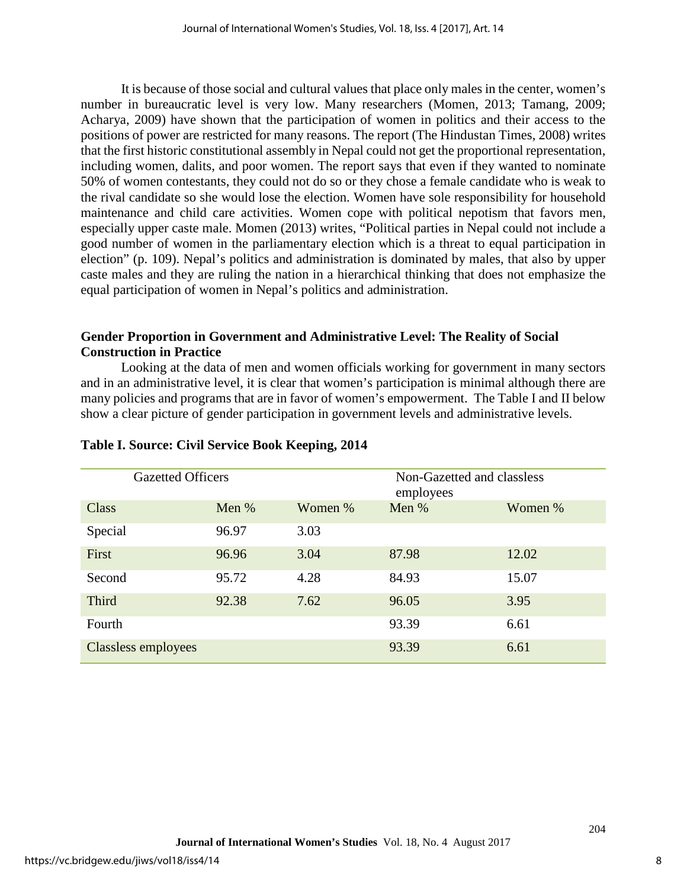It is because of those social and cultural values that place only males in the center, women's number in bureaucratic level is very low. Many researchers (Momen, 2013; Tamang, 2009; Acharya, 2009) have shown that the participation of women in politics and their access to the positions of power are restricted for many reasons. The report (The Hindustan Times, 2008) writes that the first historic constitutional assembly in Nepal could not get the proportional representation, including women, dalits, and poor women. The report says that even if they wanted to nominate 50% of women contestants, they could not do so or they chose a female candidate who is weak to the rival candidate so she would lose the election. Women have sole responsibility for household maintenance and child care activities. Women cope with political nepotism that favors men, especially upper caste male. Momen (2013) writes, "Political parties in Nepal could not include a good number of women in the parliamentary election which is a threat to equal participation in election" (p. 109). Nepal's politics and administration is dominated by males, that also by upper caste males and they are ruling the nation in a hierarchical thinking that does not emphasize the equal participation of women in Nepal's politics and administration.

## **Gender Proportion in Government and Administrative Level: The Reality of Social Construction in Practice**

Looking at the data of men and women officials working for government in many sectors and in an administrative level, it is clear that women's participation is minimal although there are many policies and programs that are in favor of women's empowerment. The Table I and II below show a clear picture of gender participation in government levels and administrative levels.

| <b>Gazetted Officers</b> |       | Non-Gazetted and classless<br>employees |       |         |
|--------------------------|-------|-----------------------------------------|-------|---------|
| Class                    | Men % | Women %                                 | Men % | Women % |
| Special                  | 96.97 | 3.03                                    |       |         |
| First                    | 96.96 | 3.04                                    | 87.98 | 12.02   |
| Second                   | 95.72 | 4.28                                    | 84.93 | 15.07   |
| Third                    | 92.38 | 7.62                                    | 96.05 | 3.95    |
| Fourth                   |       |                                         | 93.39 | 6.61    |
| Classless employees      |       |                                         | 93.39 | 6.61    |

## **Table I. Source: Civil Service Book Keeping, 2014**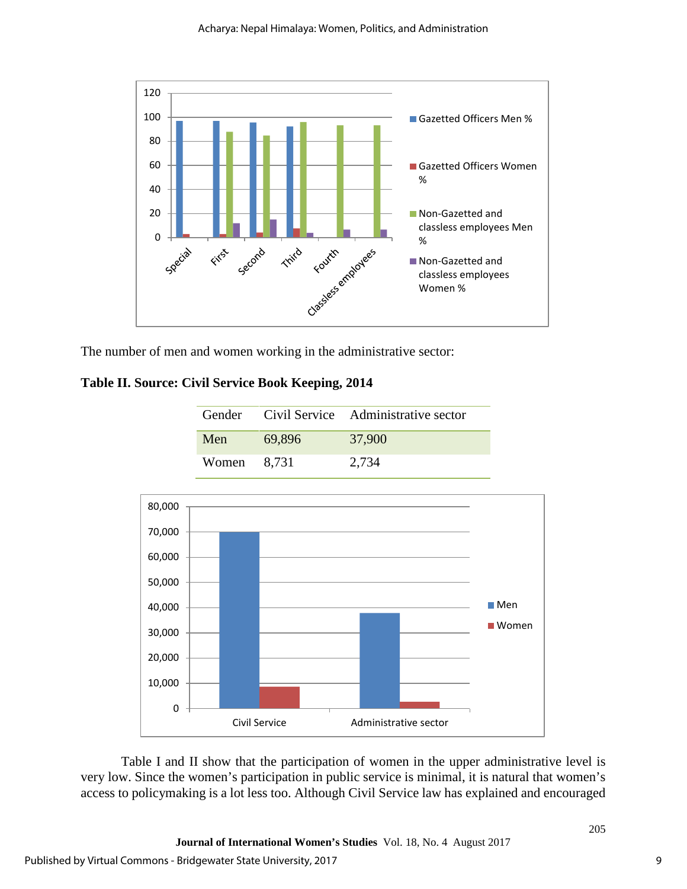

The number of men and women working in the administrative sector:

## **Table II. Source: Civil Service Book Keeping, 2014**

|             |        | Gender Civil Service Administrative sector |
|-------------|--------|--------------------------------------------|
| Men         | 69,896 | 37,900                                     |
| Women 8,731 |        | 2,734                                      |



Table I and II show that the participation of women in the upper administrative level is very low. Since the women's participation in public service is minimal, it is natural that women's access to policymaking is a lot less too. Although Civil Service law has explained and encouraged

9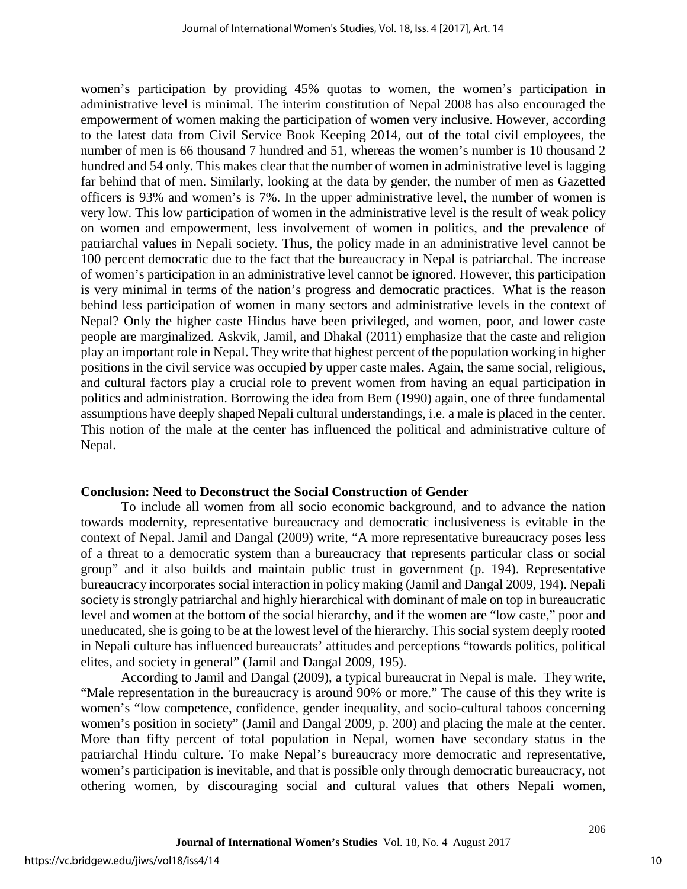women's participation by providing 45% quotas to women, the women's participation in administrative level is minimal. The interim constitution of Nepal 2008 has also encouraged the empowerment of women making the participation of women very inclusive. However, according to the latest data from Civil Service Book Keeping 2014, out of the total civil employees, the number of men is 66 thousand 7 hundred and 51, whereas the women's number is 10 thousand 2 hundred and 54 only. This makes clear that the number of women in administrative level is lagging far behind that of men. Similarly, looking at the data by gender, the number of men as Gazetted officers is 93% and women's is 7%. In the upper administrative level, the number of women is very low. This low participation of women in the administrative level is the result of weak policy on women and empowerment, less involvement of women in politics, and the prevalence of patriarchal values in Nepali society. Thus, the policy made in an administrative level cannot be 100 percent democratic due to the fact that the bureaucracy in Nepal is patriarchal. The increase of women's participation in an administrative level cannot be ignored. However, this participation is very minimal in terms of the nation's progress and democratic practices. What is the reason behind less participation of women in many sectors and administrative levels in the context of Nepal? Only the higher caste Hindus have been privileged, and women, poor, and lower caste people are marginalized. Askvik, Jamil, and Dhakal (2011) emphasize that the caste and religion play an important role in Nepal. They write that highest percent of the population working in higher positions in the civil service was occupied by upper caste males. Again, the same social, religious, and cultural factors play a crucial role to prevent women from having an equal participation in politics and administration. Borrowing the idea from Bem (1990) again, one of three fundamental assumptions have deeply shaped Nepali cultural understandings, i.e. a male is placed in the center. This notion of the male at the center has influenced the political and administrative culture of Nepal.

## **Conclusion: Need to Deconstruct the Social Construction of Gender**

To include all women from all socio economic background, and to advance the nation towards modernity, representative bureaucracy and democratic inclusiveness is evitable in the context of Nepal. Jamil and Dangal (2009) write, "A more representative bureaucracy poses less of a threat to a democratic system than a bureaucracy that represents particular class or social group" and it also builds and maintain public trust in government (p. 194). Representative bureaucracy incorporates social interaction in policy making (Jamil and Dangal 2009, 194). Nepali society is strongly patriarchal and highly hierarchical with dominant of male on top in bureaucratic level and women at the bottom of the social hierarchy, and if the women are "low caste," poor and uneducated, she is going to be at the lowest level of the hierarchy. This social system deeply rooted in Nepali culture has influenced bureaucrats' attitudes and perceptions "towards politics, political elites, and society in general" (Jamil and Dangal 2009, 195).

According to Jamil and Dangal (2009), a typical bureaucrat in Nepal is male. They write, "Male representation in the bureaucracy is around 90% or more." The cause of this they write is women's "low competence, confidence, gender inequality, and socio-cultural taboos concerning women's position in society" (Jamil and Dangal 2009, p. 200) and placing the male at the center. More than fifty percent of total population in Nepal, women have secondary status in the patriarchal Hindu culture. To make Nepal's bureaucracy more democratic and representative, women's participation is inevitable, and that is possible only through democratic bureaucracy, not othering women, by discouraging social and cultural values that others Nepali women,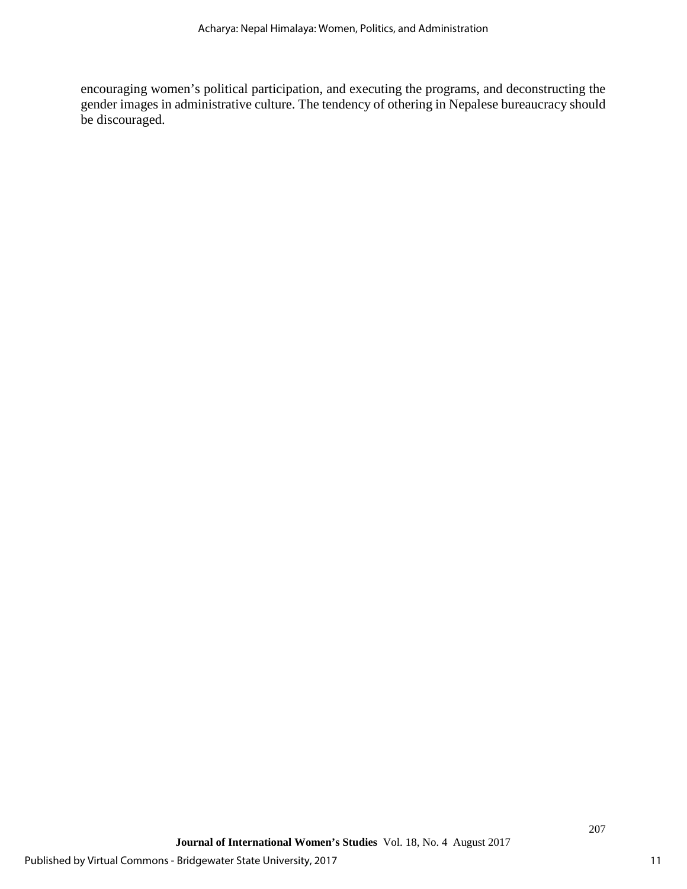encouraging women's political participation, and executing the programs, and deconstructing the gender images in administrative culture. The tendency of othering in Nepalese bureaucracy should be discouraged.